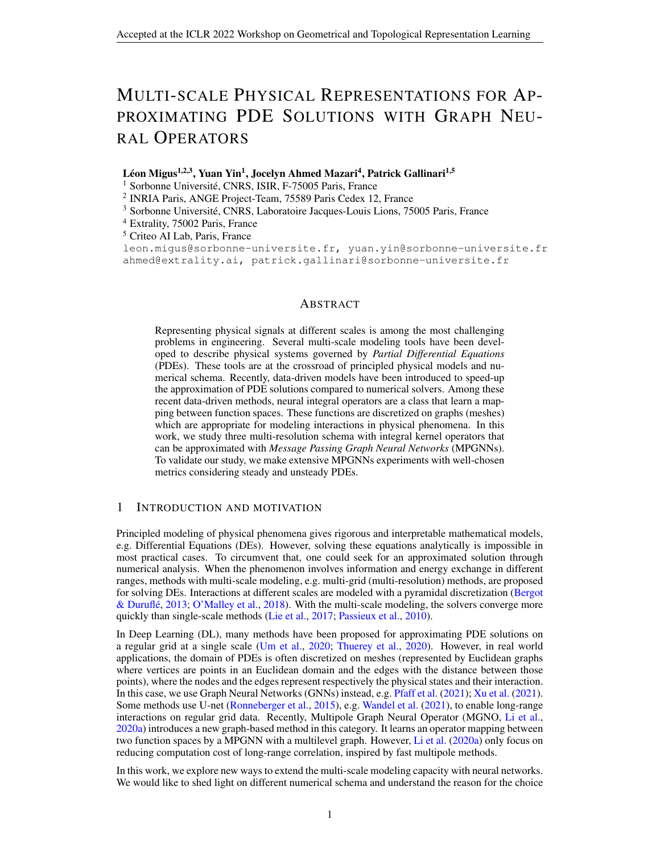# MULTI-SCALE PHYSICAL REPRESENTATIONS FOR AP-PROXIMATING PDE SOLUTIONS WITH GRAPH NEU-RAL OPERATORS

Léon Migus<sup>1,2,3</sup>, Yuan Yin<sup>1</sup>, Jocelyn Ahmed Mazari<sup>4</sup>, Patrick Gallinari<sup>1,5</sup>

<sup>1</sup> Sorbonne Université, CNRS, ISIR, F-75005 Paris, France

2 INRIA Paris, ANGE Project-Team, 75589 Paris Cedex 12, France

<sup>3</sup> Sorbonne Université, CNRS, Laboratoire Jacques-Louis Lions, 75005 Paris, France

<sup>4</sup> Extrality, 75002 Paris, France

<sup>5</sup> Criteo AI Lab, Paris, France

leon.migus@sorbonne-universite.fr, yuan.yin@sorbonne-universite.fr ahmed@extrality.ai, patrick.gallinari@sorbonne-universite.fr

## ABSTRACT

Representing physical signals at different scales is among the most challenging problems in engineering. Several multi-scale modeling tools have been developed to describe physical systems governed by *Partial Differential Equations* (PDEs). These tools are at the crossroad of principled physical models and numerical schema. Recently, data-driven models have been introduced to speed-up the approximation of PDE solutions compared to numerical solvers. Among these recent data-driven methods, neural integral operators are a class that learn a mapping between function spaces. These functions are discretized on graphs (meshes) which are appropriate for modeling interactions in physical phenomena. In this work, we study three multi-resolution schema with integral kernel operators that can be approximated with *Message Passing Graph Neural Networks* (MPGNNs). To validate our study, we make extensive MPGNNs experiments with well-chosen metrics considering steady and unsteady PDEs.

# 1 INTRODUCTION AND MOTIVATION

Principled modeling of physical phenomena gives rigorous and interpretable mathematical models, e.g. Differential Equations (DEs). However, solving these equations analytically is impossible in most practical cases. To circumvent that, one could seek for an approximated solution through numerical analysis. When the phenomenon involves information and energy exchange in different ranges, methods with multi-scale modeling, e.g. multi-grid (multi-resolution) methods, are proposed for solving DEs. Interactions at different scales are modeled with a pyramidal discretization [\(Bergot](#page-5-0) [& Durufle´,](#page-5-0) [2013;](#page-5-0) [O'Malley et al.,](#page-5-1) [2018\)](#page-5-1). With the multi-scale modeling, the solvers converge more quickly than single-scale methods [\(Lie et al.,](#page-5-2) [2017;](#page-5-2) [Passieux et al.,](#page-5-3) [2010\)](#page-5-3).

In Deep Learning (DL), many methods have been proposed for approximating PDE solutions on a regular grid at a single scale [\(Um et al.,](#page-5-4) [2020;](#page-5-4) [Thuerey et al.,](#page-5-5) [2020\)](#page-5-5). However, in real world applications, the domain of PDEs is often discretized on meshes (represented by Euclidean graphs where vertices are points in an Euclidean domain and the edges with the distance between those points), where the nodes and the edges represent respectively the physical states and their interaction. In this case, we use Graph Neural Networks (GNNs) instead, e.g. [Pfaff et al.](#page-5-6) [\(2021\)](#page-5-6); [Xu et al.](#page-6-0) [\(2021\)](#page-6-0). Some methods use U-net [\(Ronneberger et al.,](#page-5-7) [2015\)](#page-5-7), e.g. [Wandel et al.](#page-6-1) [\(2021\)](#page-6-1), to enable long-range interactions on regular grid data. Recently, Multipole Graph Neural Operator (MGNO, [Li et al.,](#page-5-8) [2020a\)](#page-5-8) introduces a new graph-based method in this category. It learns an operator mapping between two function spaces by a MPGNN with a multilevel graph. However, [Li et al.](#page-5-8) [\(2020a\)](#page-5-8) only focus on reducing computation cost of long-range correlation, inspired by fast multipole methods.

In this work, we explore new ways to extend the multi-scale modeling capacity with neural networks. We would like to shed light on different numerical schema and understand the reason for the choice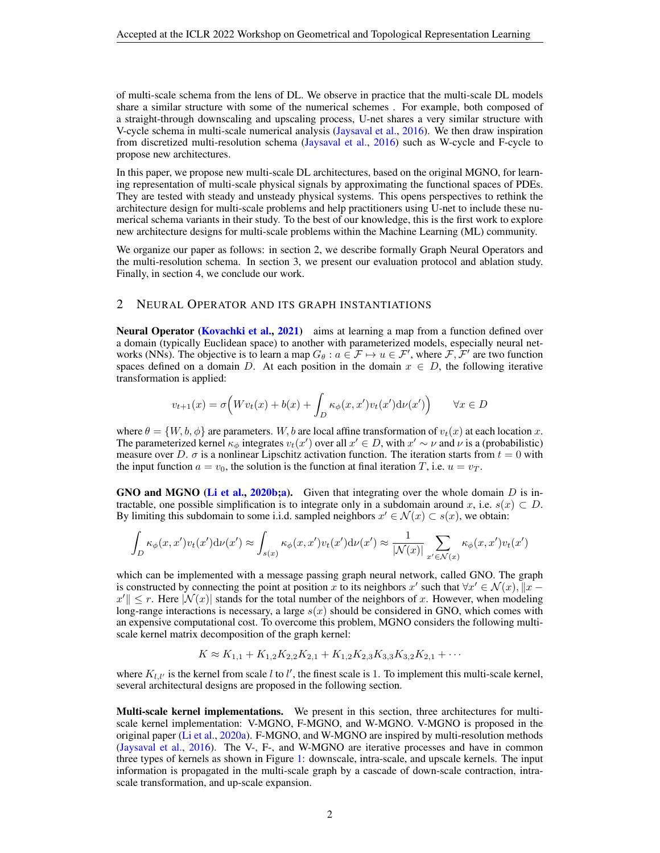of multi-scale schema from the lens of DL. We observe in practice that the multi-scale DL models share a similar structure with some of the numerical schemes . For example, both composed of a straight-through downscaling and upscaling process, U-net shares a very similar structure with V-cycle schema in multi-scale numerical analysis [\(Jaysaval et al.,](#page-5-9) [2016\)](#page-5-9). We then draw inspiration from discretized multi-resolution schema [\(Jaysaval et al.,](#page-5-9) [2016\)](#page-5-9) such as W-cycle and F-cycle to propose new architectures.

In this paper, we propose new multi-scale DL architectures, based on the original MGNO, for learning representation of multi-scale physical signals by approximating the functional spaces of PDEs. They are tested with steady and unsteady physical systems. This opens perspectives to rethink the architecture design for multi-scale problems and help practitioners using U-net to include these numerical schema variants in their study. To the best of our knowledge, this is the first work to explore new architecture designs for multi-scale problems within the Machine Learning (ML) community.

We organize our paper as follows: in section 2, we describe formally Graph Neural Operators and the multi-resolution schema. In section 3, we present our evaluation protocol and ablation study. Finally, in section 4, we conclude our work.

## 2 NEURAL OPERATOR AND ITS GRAPH INSTANTIATIONS

Neural Operator [\(Kovachki et al.,](#page-5-10) [2021\)](#page-5-10) aims at learning a map from a function defined over a domain (typically Euclidean space) to another with parameterized models, especially neural networks (NNs). The objective is to learn a map  $G_{\theta}: a \in \mathcal{F} \mapsto u \in \mathcal{F}'$ , where  $\mathcal{F}, \mathcal{F}'$  are two function spaces defined on a domain D. At each position in the domain  $x \in D$ , the following iterative transformation is applied:

$$
v_{t+1}(x) = \sigma\Big(Wv_t(x) + b(x) + \int_D \kappa_\phi(x, x')v_t(x')d\nu(x')\Big) \qquad \forall x \in D
$$

where  $\theta = \{W, b, \phi\}$  are parameters. W, b are local affine transformation of  $v_t(x)$  at each location x. The parameterized kernel  $\kappa_{\phi}$  integrates  $v_t(x')$  over all  $x' \in D$ , with  $x' \sim \nu$  and  $\nu$  is a (probabilistic) measure over D.  $\sigma$  is a nonlinear Lipschitz activation function. The iteration starts from  $t = 0$  with the input function  $a = v_0$ , the solution is the function at final iteration T, i.e.  $u = v_T$ .

GNO and MGNO [\(Li et al.,](#page-5-11) [2020b;](#page-5-11)[a\)](#page-5-8). Given that integrating over the whole domain  $D$  is intractable, one possible simplification is to integrate only in a subdomain around x, i.e.  $s(x) \subset D$ . By limiting this subdomain to some i.i.d. sampled neighbors  $x' \in \mathcal{N}(x) \subset s(x)$ , we obtain:

$$
\int_D \kappa_\phi(x, x') v_t(x') \mathrm{d}\nu(x') \approx \int_{s(x)} \kappa_\phi(x, x') v_t(x') \mathrm{d}\nu(x') \approx \frac{1}{|\mathcal{N}(x)|} \sum_{x' \in \mathcal{N}(x)} \kappa_\phi(x, x') v_t(x')
$$

which can be implemented with a message passing graph neural network, called GNO. The graph is constructed by connecting the point at position x to its neighbors x' such that  $\forall x' \in \mathcal{N}(x)$ ,  $||x ||x'|| \leq r$ . Here  $|\mathcal{N}(x)|$  stands for the total number of the neighbors of x. However, when modeling long-range interactions is necessary, a large  $s(x)$  should be considered in GNO, which comes with an expensive computational cost. To overcome this problem, MGNO considers the following multiscale kernel matrix decomposition of the graph kernel:

$$
K \approx K_{1,1} + K_{1,2}K_{2,2}K_{2,1} + K_{1,2}K_{2,3}K_{3,3}K_{3,2}K_{2,1} + \cdots
$$

where  $K_{l,l'}$  is the kernel from scale l to l', the finest scale is 1. To implement this multi-scale kernel, several architectural designs are proposed in the following section.

Multi-scale kernel implementations. We present in this section, three architectures for multiscale kernel implementation: V-MGNO, F-MGNO, and W-MGNO. V-MGNO is proposed in the original paper [\(Li et al.,](#page-5-8) [2020a\)](#page-5-8). F-MGNO, and W-MGNO are inspired by multi-resolution methods [\(Jaysaval et al.,](#page-5-9) [2016\)](#page-5-9). The V-, F-, and W-MGNO are iterative processes and have in common three types of kernels as shown in Figure [1:](#page-2-0) downscale, intra-scale, and upscale kernels. The input information is propagated in the multi-scale graph by a cascade of down-scale contraction, intrascale transformation, and up-scale expansion.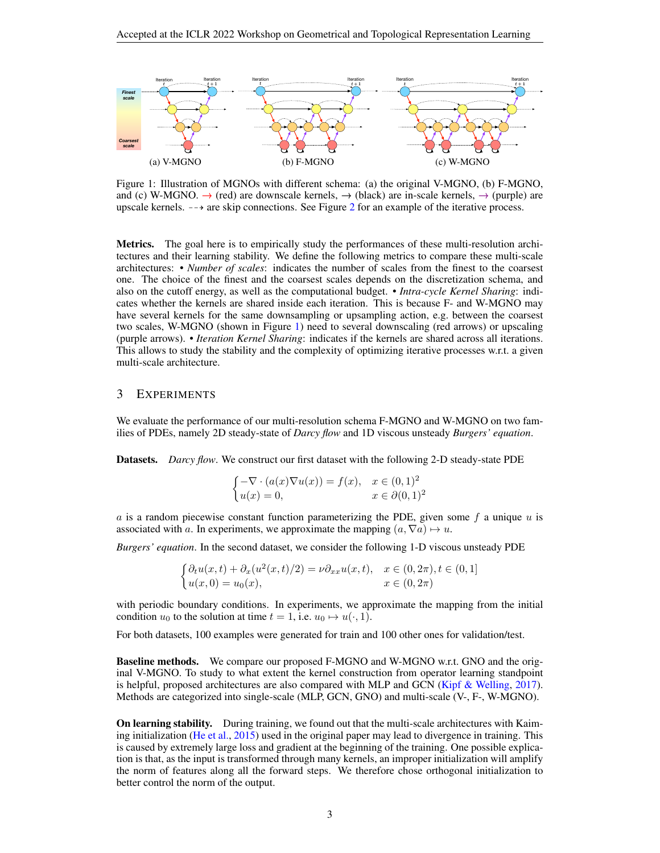<span id="page-2-0"></span>

Figure 1: Illustration of MGNOs with different schema: (a) the original V-MGNO, (b) F-MGNO, and (c) W-MGNO.  $\rightarrow$  (red) are downscale kernels,  $\rightarrow$  (black) are in-scale kernels,  $\rightarrow$  (purple) are upscale kernels.  $-\rightarrow$  are skip connections. See Figure [2](#page-7-0) for an example of the iterative process.

Metrics. The goal here is to empirically study the performances of these multi-resolution architectures and their learning stability. We define the following metrics to compare these multi-scale architectures: • *Number of scales*: indicates the number of scales from the finest to the coarsest one. The choice of the finest and the coarsest scales depends on the discretization schema, and also on the cutoff energy, as well as the computational budget. • *Intra-cycle Kernel Sharing*: indicates whether the kernels are shared inside each iteration. This is because F- and W-MGNO may have several kernels for the same downsampling or upsampling action, e.g. between the coarsest two scales, W-MGNO (shown in Figure [1\)](#page-2-0) need to several downscaling (red arrows) or upscaling (purple arrows). • *Iteration Kernel Sharing*: indicates if the kernels are shared across all iterations. This allows to study the stability and the complexity of optimizing iterative processes w.r.t. a given multi-scale architecture.

## 3 EXPERIMENTS

We evaluate the performance of our multi-resolution schema F-MGNO and W-MGNO on two families of PDEs, namely 2D steady-state of *Darcy flow* and 1D viscous unsteady *Burgers' equation*.

Datasets. *Darcy flow*. We construct our first dataset with the following 2-D steady-state PDE

$$
\begin{cases}\n-\nabla \cdot (a(x)\nabla u(x)) = f(x), & x \in (0,1)^2 \\
u(x) = 0, & x \in \partial (0,1)^2\n\end{cases}
$$

a is a random piecewise constant function parameterizing the PDE, given some f a unique  $u$  is associated with a. In experiments, we approximate the mapping  $(a, \nabla a) \mapsto u$ .

*Burgers' equation*. In the second dataset, we consider the following 1-D viscous unsteady PDE

$$
\begin{cases} \partial_t u(x,t) + \partial_x (u^2(x,t)/2) = \nu \partial_{xx} u(x,t), & x \in (0,2\pi), t \in (0,1] \\ u(x,0) = u_0(x), & x \in (0,2\pi) \end{cases}
$$

with periodic boundary conditions. In experiments, we approximate the mapping from the initial condition  $u_0$  to the solution at time  $t = 1$ , i.e.  $u_0 \mapsto u(\cdot, 1)$ .

For both datasets, 100 examples were generated for train and 100 other ones for validation/test.

Baseline methods. We compare our proposed F-MGNO and W-MGNO w.r.t. GNO and the original V-MGNO. To study to what extent the kernel construction from operator learning standpoint is helpful, proposed architectures are also compared with MLP and GCN [\(Kipf & Welling,](#page-5-12) [2017\)](#page-5-12). Methods are categorized into single-scale (MLP, GCN, GNO) and multi-scale (V-, F-, W-MGNO).

On learning stability. During training, we found out that the multi-scale architectures with Kaiming initialization [\(He et al.,](#page-5-13) [2015\)](#page-5-13) used in the original paper may lead to divergence in training. This is caused by extremely large loss and gradient at the beginning of the training. One possible explication is that, as the input is transformed through many kernels, an improper initialization will amplify the norm of features along all the forward steps. We therefore chose orthogonal initialization to better control the norm of the output.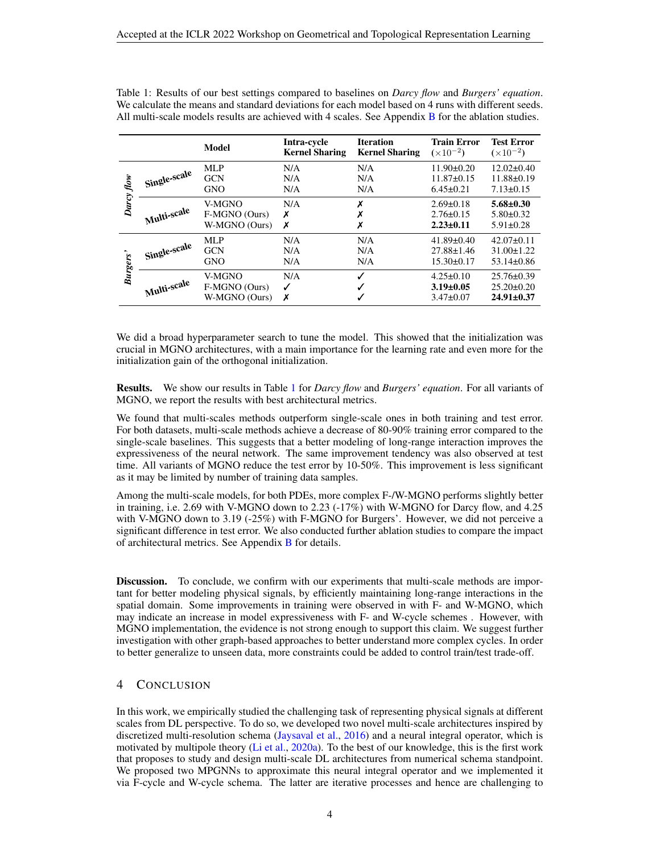|                 |              | Model         | Intra-cycle<br><b>Kernel Sharing</b> | <b>Iteration</b><br><b>Kernel Sharing</b> | <b>Train Error</b><br>$(\times 10^{-2})$ | <b>Test Error</b><br>$(x10^{-2})$ |
|-----------------|--------------|---------------|--------------------------------------|-------------------------------------------|------------------------------------------|-----------------------------------|
| Darcy flow      | Single-scale | MLP           | N/A                                  | N/A                                       | $11.90 \pm 0.20$                         | $12.02 \pm 0.40$                  |
|                 |              | <b>GCN</b>    | N/A                                  | N/A                                       | $11.87 \pm 0.15$                         | $11.88 \pm 0.19$                  |
|                 |              | <b>GNO</b>    | N/A                                  | N/A                                       | $6.45 \pm 0.21$                          | $7.13 \pm 0.15$                   |
|                 | Multi-scale  | V-MGNO        | N/A                                  | Х                                         | $2.69 \pm 0.18$                          | $5.68 \pm 0.30$                   |
|                 |              | F-MGNO (Ours) | х                                    | Х                                         | $2.76 \pm 0.15$                          | $5.80 \pm 0.32$                   |
|                 |              | W-MGNO (Ours) | Х                                    | Х                                         | $2.23 \pm 0.11$                          | $5.91 \pm 0.28$                   |
| <b>Burgers'</b> | Single-scale | MLP           | N/A                                  | N/A                                       | $41.89 \pm 0.40$                         | $42.07\pm0.11$                    |
|                 |              | <b>GCN</b>    | N/A                                  | N/A                                       | $27.88 \pm 1.46$                         | $31.00 \pm 1.22$                  |
|                 |              | <b>GNO</b>    | N/A                                  | N/A                                       | $15.30 \pm 0.17$                         | $53.14 \pm 0.86$                  |
|                 | Multi-scale  | V-MGNO        | N/A                                  | √                                         | $4.25 \pm 0.10$                          | $25.76\pm0.39$                    |
|                 |              | F-MGNO (Ours) | ✓                                    |                                           | $3.19 \pm 0.05$                          | $25.20 \pm 0.20$                  |
|                 |              | W-MGNO (Ours) | Х                                    |                                           | $3.47 \pm 0.07$                          | $24.91 \pm 0.37$                  |

<span id="page-3-0"></span>Table 1: Results of our best settings compared to baselines on *Darcy flow* and *Burgers' equation*. We calculate the means and standard deviations for each model based on 4 runs with different seeds. All multi-scale models results are achieved with 4 scales. See Appendix [B](#page-7-1) for the ablation studies.

We did a broad hyperparameter search to tune the model. This showed that the initialization was crucial in MGNO architectures, with a main importance for the learning rate and even more for the initialization gain of the orthogonal initialization.

Results. We show our results in Table [1](#page-3-0) for *Darcy flow* and *Burgers' equation*. For all variants of MGNO, we report the results with best architectural metrics.

We found that multi-scales methods outperform single-scale ones in both training and test error. For both datasets, multi-scale methods achieve a decrease of 80-90% training error compared to the single-scale baselines. This suggests that a better modeling of long-range interaction improves the expressiveness of the neural network. The same improvement tendency was also observed at test time. All variants of MGNO reduce the test error by 10-50%. This improvement is less significant as it may be limited by number of training data samples.

Among the multi-scale models, for both PDEs, more complex F-/W-MGNO performs slightly better in training, i.e. 2.69 with V-MGNO down to 2.23 (-17%) with W-MGNO for Darcy flow, and 4.25 with V-MGNO down to 3.19 (-25%) with F-MGNO for Burgers'. However, we did not perceive a significant difference in test error. We also conducted further ablation studies to compare the impact of architectural metrics. See Appendix [B](#page-7-1) for details.

Discussion. To conclude, we confirm with our experiments that multi-scale methods are important for better modeling physical signals, by efficiently maintaining long-range interactions in the spatial domain. Some improvements in training were observed in with F- and W-MGNO, which may indicate an increase in model expressiveness with F- and W-cycle schemes . However, with MGNO implementation, the evidence is not strong enough to support this claim. We suggest further investigation with other graph-based approaches to better understand more complex cycles. In order to better generalize to unseen data, more constraints could be added to control train/test trade-off.

# 4 CONCLUSION

In this work, we empirically studied the challenging task of representing physical signals at different scales from DL perspective. To do so, we developed two novel multi-scale architectures inspired by discretized multi-resolution schema [\(Jaysaval et al.,](#page-5-9) [2016\)](#page-5-9) and a neural integral operator, which is motivated by multipole theory [\(Li et al.,](#page-5-8) [2020a\)](#page-5-8). To the best of our knowledge, this is the first work that proposes to study and design multi-scale DL architectures from numerical schema standpoint. We proposed two MPGNNs to approximate this neural integral operator and we implemented it via F-cycle and W-cycle schema. The latter are iterative processes and hence are challenging to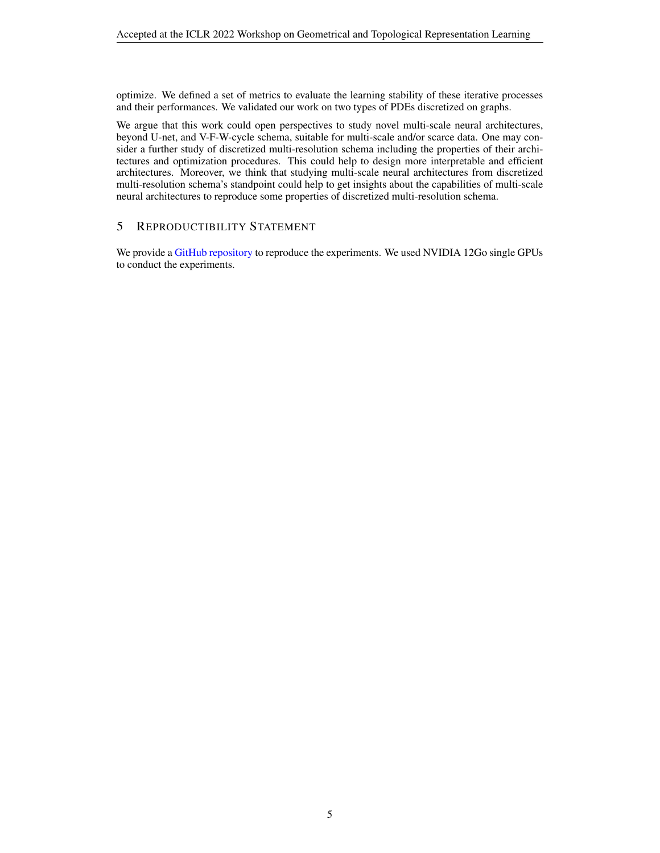optimize. We defined a set of metrics to evaluate the learning stability of these iterative processes and their performances. We validated our work on two types of PDEs discretized on graphs.

We argue that this work could open perspectives to study novel multi-scale neural architectures, beyond U-net, and V-F-W-cycle schema, suitable for multi-scale and/or scarce data. One may consider a further study of discretized multi-resolution schema including the properties of their architectures and optimization procedures. This could help to design more interpretable and efficient architectures. Moreover, we think that studying multi-scale neural architectures from discretized multi-resolution schema's standpoint could help to get insights about the capabilities of multi-scale neural architectures to reproduce some properties of discretized multi-resolution schema.

## 5 REPRODUCTIBILITY STATEMENT

We provide a [GitHub repository](https://github.com/LeonMigu/multi_scale_graph_neural_operator) to reproduce the experiments. We used NVIDIA 12Go single GPUs to conduct the experiments.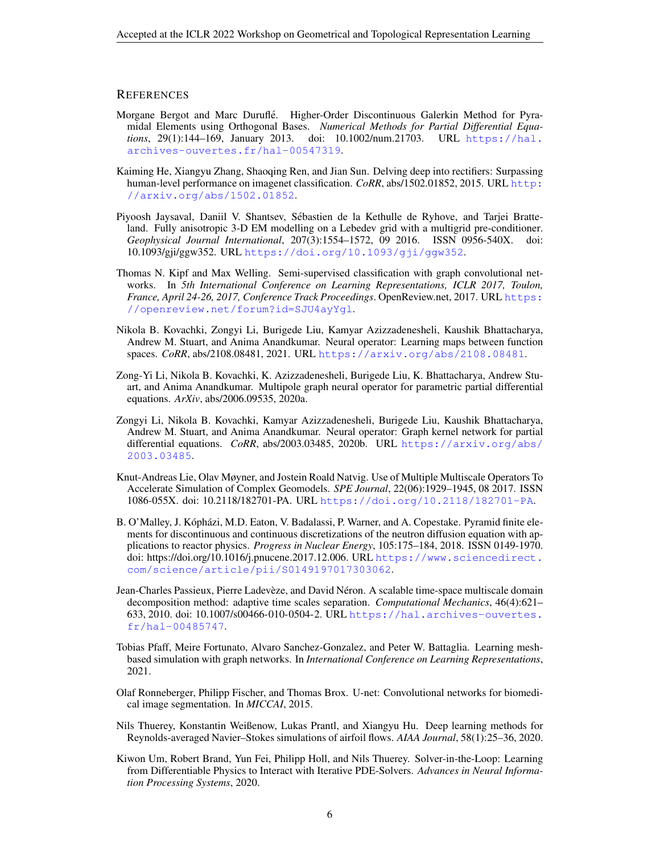#### **REFERENCES**

- <span id="page-5-0"></span>Morgane Bergot and Marc Durufle. Higher-Order Discontinuous Galerkin Method for Pyra- ´ midal Elements using Orthogonal Bases. *Numerical Methods for Partial Differential Equations*, 29(1):144–169, January 2013. doi: 10.1002/num.21703. URL [https://hal.](https://hal.archives-ouvertes.fr/hal-00547319) [archives-ouvertes.fr/hal-00547319](https://hal.archives-ouvertes.fr/hal-00547319).
- <span id="page-5-13"></span>Kaiming He, Xiangyu Zhang, Shaoqing Ren, and Jian Sun. Delving deep into rectifiers: Surpassing human-level performance on imagenet classification. *CoRR*, abs/1502.01852, 2015. URL [http:](http://arxiv.org/abs/1502.01852) [//arxiv.org/abs/1502.01852](http://arxiv.org/abs/1502.01852).
- <span id="page-5-9"></span>Piyoosh Jaysaval, Daniil V. Shantsev, Sebastien de la Kethulle de Ryhove, and Tarjei Bratte- ´ land. Fully anisotropic 3-D EM modelling on a Lebedev grid with a multigrid pre-conditioner. *Geophysical Journal International*, 207(3):1554–1572, 09 2016. ISSN 0956-540X. doi: 10.1093/gji/ggw352. URL <https://doi.org/10.1093/gji/ggw352>.
- <span id="page-5-12"></span>Thomas N. Kipf and Max Welling. Semi-supervised classification with graph convolutional networks. In *5th International Conference on Learning Representations, ICLR 2017, Toulon, France, April 24-26, 2017, Conference Track Proceedings*. OpenReview.net, 2017. URL [https:](https://openreview.net/forum?id=SJU4ayYgl) [//openreview.net/forum?id=SJU4ayYgl](https://openreview.net/forum?id=SJU4ayYgl).
- <span id="page-5-10"></span>Nikola B. Kovachki, Zongyi Li, Burigede Liu, Kamyar Azizzadenesheli, Kaushik Bhattacharya, Andrew M. Stuart, and Anima Anandkumar. Neural operator: Learning maps between function spaces. *CoRR*, abs/2108.08481, 2021. URL <https://arxiv.org/abs/2108.08481>.
- <span id="page-5-8"></span>Zong-Yi Li, Nikola B. Kovachki, K. Azizzadenesheli, Burigede Liu, K. Bhattacharya, Andrew Stuart, and Anima Anandkumar. Multipole graph neural operator for parametric partial differential equations. *ArXiv*, abs/2006.09535, 2020a.
- <span id="page-5-11"></span>Zongyi Li, Nikola B. Kovachki, Kamyar Azizzadenesheli, Burigede Liu, Kaushik Bhattacharya, Andrew M. Stuart, and Anima Anandkumar. Neural operator: Graph kernel network for partial differential equations. *CoRR*, abs/2003.03485, 2020b. URL [https://arxiv.org/abs/](https://arxiv.org/abs/2003.03485) [2003.03485](https://arxiv.org/abs/2003.03485).
- <span id="page-5-2"></span>Knut-Andreas Lie, Olav Møyner, and Jostein Roald Natvig. Use of Multiple Multiscale Operators To Accelerate Simulation of Complex Geomodels. *SPE Journal*, 22(06):1929–1945, 08 2017. ISSN 1086-055X. doi: 10.2118/182701-PA. URL <https://doi.org/10.2118/182701-PA>.
- <span id="page-5-1"></span>B. O'Malley, J. Kópházi, M.D. Eaton, V. Badalassi, P. Warner, and A. Copestake. Pyramid finite elements for discontinuous and continuous discretizations of the neutron diffusion equation with applications to reactor physics. *Progress in Nuclear Energy*, 105:175–184, 2018. ISSN 0149-1970. doi: https://doi.org/10.1016/j.pnucene.2017.12.006. URL [https://www.sciencedirect.](https://www.sciencedirect.com/science/article/pii/S0149197017303062) [com/science/article/pii/S0149197017303062](https://www.sciencedirect.com/science/article/pii/S0149197017303062).
- <span id="page-5-3"></span>Jean-Charles Passieux, Pierre Ladevèze, and David Néron. A scalable time-space multiscale domain decomposition method: adaptive time scales separation. *Computational Mechanics*, 46(4):621– 633, 2010. doi: 10.1007/s00466-010-0504-2. URL [https://hal.archives-ouvertes.](https://hal.archives-ouvertes.fr/hal-00485747) [fr/hal-00485747](https://hal.archives-ouvertes.fr/hal-00485747).
- <span id="page-5-6"></span>Tobias Pfaff, Meire Fortunato, Alvaro Sanchez-Gonzalez, and Peter W. Battaglia. Learning meshbased simulation with graph networks. In *International Conference on Learning Representations*, 2021.
- <span id="page-5-7"></span>Olaf Ronneberger, Philipp Fischer, and Thomas Brox. U-net: Convolutional networks for biomedical image segmentation. In *MICCAI*, 2015.
- <span id="page-5-5"></span>Nils Thuerey, Konstantin Weißenow, Lukas Prantl, and Xiangyu Hu. Deep learning methods for Reynolds-averaged Navier–Stokes simulations of airfoil flows. *AIAA Journal*, 58(1):25–36, 2020.
- <span id="page-5-4"></span>Kiwon Um, Robert Brand, Yun Fei, Philipp Holl, and Nils Thuerey. Solver-in-the-Loop: Learning from Differentiable Physics to Interact with Iterative PDE-Solvers. *Advances in Neural Information Processing Systems*, 2020.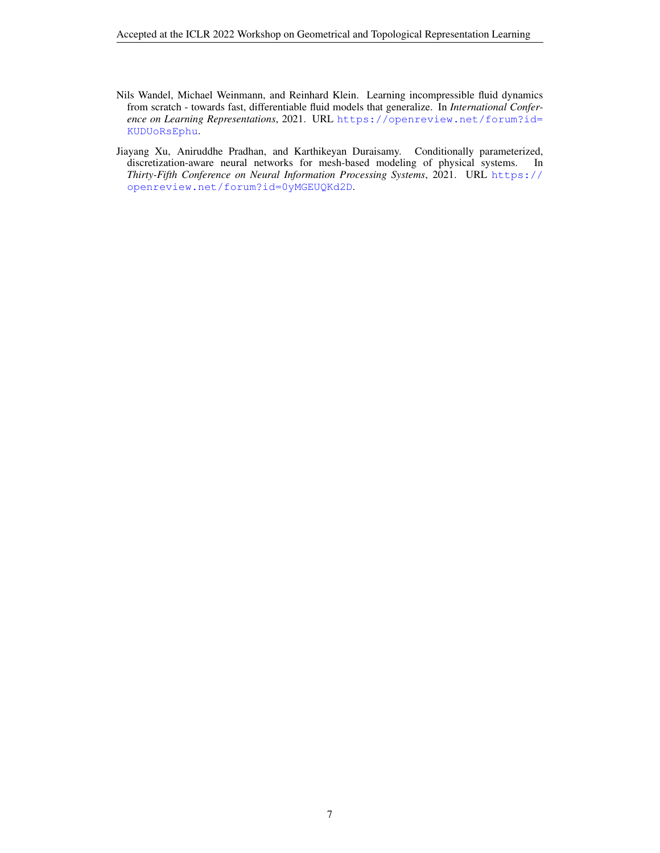- <span id="page-6-1"></span>Nils Wandel, Michael Weinmann, and Reinhard Klein. Learning incompressible fluid dynamics from scratch - towards fast, differentiable fluid models that generalize. In *International Conference on Learning Representations*, 2021. URL [https://openreview.net/forum?id=](https://openreview.net/forum?id=KUDUoRsEphu) [KUDUoRsEphu](https://openreview.net/forum?id=KUDUoRsEphu).
- <span id="page-6-0"></span>Jiayang Xu, Aniruddhe Pradhan, and Karthikeyan Duraisamy. Conditionally parameterized, discretization-aware neural networks for mesh-based modeling of physical systems. In *Thirty-Fifth Conference on Neural Information Processing Systems*, 2021. URL [https://](https://openreview.net/forum?id=0yMGEUQKd2D) [openreview.net/forum?id=0yMGEUQKd2D](https://openreview.net/forum?id=0yMGEUQKd2D).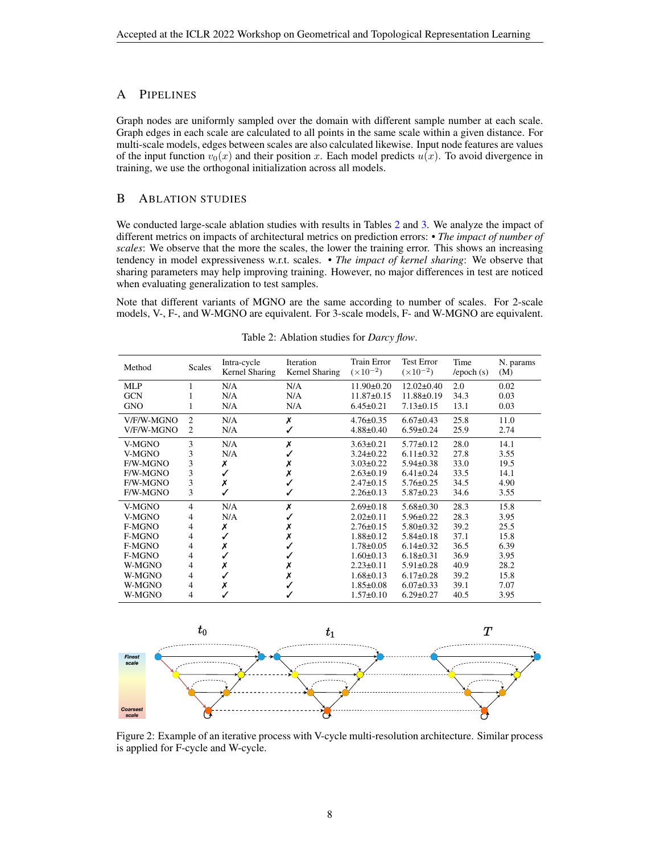# A PIPELINES

Graph nodes are uniformly sampled over the domain with different sample number at each scale. Graph edges in each scale are calculated to all points in the same scale within a given distance. For multi-scale models, edges between scales are also calculated likewise. Input node features are values of the input function  $v_0(x)$  and their position x. Each model predicts  $u(x)$ . To avoid divergence in training, we use the orthogonal initialization across all models.

#### <span id="page-7-1"></span>B ABLATION STUDIES

We conducted large-scale ablation studies with results in Tables [2](#page-7-2) and [3.](#page-8-0) We analyze the impact of different metrics on impacts of architectural metrics on prediction errors: • *The impact of number of scales*: We observe that the more the scales, the lower the training error. This shows an increasing tendency in model expressiveness w.r.t. scales. • *The impact of kernel sharing*: We observe that sharing parameters may help improving training. However, no major differences in test are noticed when evaluating generalization to test samples.

Note that different variants of MGNO are the same according to number of scales. For 2-scale models, V-, F-, and W-MGNO are equivalent. For 3-scale models, F- and W-MGNO are equivalent.

<span id="page-7-2"></span>

| Method     | Scales         | Intra-cycle<br>Kernel Sharing | Iteration<br>Kernel Sharing | Train Error<br>$(\times 10^{-2})$ | <b>Test Error</b><br>$(\times 10^{-2})$ | Time<br>/epoch(s) | N. params<br>(M) |
|------------|----------------|-------------------------------|-----------------------------|-----------------------------------|-----------------------------------------|-------------------|------------------|
| <b>MLP</b> |                | N/A                           | N/A                         | $11.90 \pm 0.20$                  | $12.02 \pm 0.40$                        | 2.0               | 0.02             |
| <b>GCN</b> |                | N/A                           | N/A                         | $11.87 \pm 0.15$                  | $11.88 \pm 0.19$                        | 34.3              | 0.03             |
| <b>GNO</b> |                | N/A                           | N/A                         | $6.45 \pm 0.21$                   | $7.13 \pm 0.15$                         | 13.1              | 0.03             |
| V/F/W-MGNO | $\overline{c}$ | N/A                           | Х                           | $4.76 \pm 0.35$                   | $6.67 \pm 0.43$                         | 25.8              | 11.0             |
| V/F/W-MGNO | 2              | N/A                           | ✓                           | $4.88 \pm 0.40$                   | $6.59 \pm 0.24$                         | 25.9              | 2.74             |
| V-MGNO     | 3              | N/A                           | Х                           | $3.63 \pm 0.21$                   | $5.77 \pm 0.12$                         | 28.0              | 14.1             |
| V-MGNO     | 3              | N/A                           | $\checkmark$                | $3.24 \pm 0.22$                   | $6.11 \pm 0.32$                         | 27.8              | 3.55             |
| F/W-MGNO   | 3              | Х                             | Х                           | $3.03 \pm 0.22$                   | $5.94 \pm 0.38$                         | 33.0              | 19.5             |
| F/W-MGNO   | 3              |                               | Х                           | $2.63 \pm 0.19$                   | $6.41 \pm 0.24$                         | 33.5              | 14.1             |
| F/W-MGNO   | 3              | Х                             | $\checkmark$                | $2.47\pm0.15$                     | $5.76 \pm 0.25$                         | 34.5              | 4.90             |
| F/W-MGNO   | 3              |                               | ✓                           | $2.26 \pm 0.13$                   | $5.87 \pm 0.23$                         | 34.6              | 3.55             |
| V-MGNO     | 4              | N/A                           | Х                           | $2.69 \pm 0.18$                   | $5.68 \pm 0.30$                         | 28.3              | 15.8             |
| V-MGNO     | 4              | N/A                           | ✓                           | $2.02 \pm 0.11$                   | $5.96 \pm 0.22$                         | 28.3              | 3.95             |
| F-MGNO     | 4              | Х                             | Х                           | $2.76 \pm 0.15$                   | $5.80 \pm 0.32$                         | 39.2              | 25.5             |
| F-MGNO     | 4              |                               | Х                           | $1.88 \pm 0.12$                   | $5.84 \pm 0.18$                         | 37.1              | 15.8             |
| F-MGNO     | 4              | Х                             |                             | $1.78 \pm 0.05$                   | $6.14 \pm 0.32$                         | 36.5              | 6.39             |
| F-MGNO     | 4              |                               |                             | $1.60 \pm 0.13$                   | $6.18 \pm 0.31$                         | 36.9              | 3.95             |
| W-MGNO     | 4              | Х                             | Х                           | $2.23 \pm 0.11$                   | $5.91 \pm 0.28$                         | 40.9              | 28.2             |
| W-MGNO     | 4              |                               | Х                           | $1.68 \pm 0.13$                   | $6.17 \pm 0.28$                         | 39.2              | 15.8             |
| W-MGNO     | 4              | Х                             | ✓                           | $1.85 \pm 0.08$                   | $6.07 \pm 0.33$                         | 39.1              | 7.07             |
| W-MGNO     | 4              |                               |                             | $1.57 \pm 0.10$                   | $6.29 \pm 0.27$                         | 40.5              | 3.95             |

Table 2: Ablation studies for *Darcy flow*.

<span id="page-7-0"></span>

Figure 2: Example of an iterative process with V-cycle multi-resolution architecture. Similar process is applied for F-cycle and W-cycle.